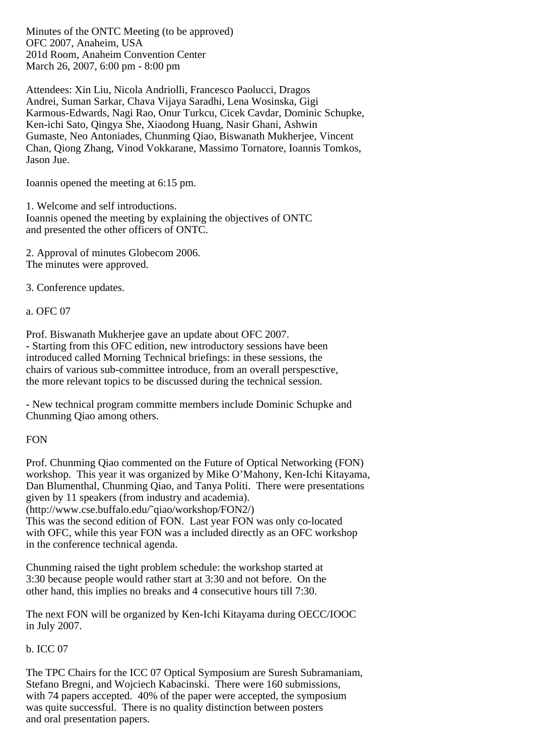Minutes of the ONTC Meeting (to be approved) OFC 2007, Anaheim, USA 201d Room, Anaheim Convention Center March 26, 2007, 6:00 pm - 8:00 pm

Attendees: Xin Liu, Nicola Andriolli, Francesco Paolucci, Dragos Andrei, Suman Sarkar, Chava Vijaya Saradhi, Lena Wosinska, Gigi Karmous-Edwards, Nagi Rao, Onur Turkcu, Cicek Cavdar, Dominic Schupke, Ken-ichi Sato, Qingya She, Xiaodong Huang, Nasir Ghani, Ashwin Gumaste, Neo Antoniades, Chunming Qiao, Biswanath Mukherjee, Vincent Chan, Qiong Zhang, Vinod Vokkarane, Massimo Tornatore, Ioannis Tomkos, Jason Jue.

Ioannis opened the meeting at 6:15 pm.

1. Welcome and self introductions. Ioannis opened the meeting by explaining the objectives of ONTC and presented the other officers of ONTC.

2. Approval of minutes Globecom 2006. The minutes were approved.

3. Conference updates.

a. OFC 07

Prof. Biswanath Mukherjee gave an update about OFC 2007. - Starting from this OFC edition, new introductory sessions have been introduced called Morning Technical briefings: in these sessions, the chairs of various sub-committee introduce, from an overall perspesctive, the more relevant topics to be discussed during the technical session.

- New technical program committe members include Dominic Schupke and Chunming Qiao among others.

# FON

Prof. Chunming Qiao commented on the Future of Optical Networking (FON) workshop. This year it was organized by Mike O'Mahony, Ken-Ichi Kitayama, Dan Blumenthal, Chunming Qiao, and Tanya Politi. There were presentations given by 11 speakers (from industry and academia).

(http://www.cse.buffalo.edu/˜qiao/workshop/FON2/)

This was the second edition of FON. Last year FON was only co-located with OFC, while this year FON was a included directly as an OFC workshop in the conference technical agenda.

Chunming raised the tight problem schedule: the workshop started at 3:30 because people would rather start at 3:30 and not before. On the other hand, this implies no breaks and 4 consecutive hours till 7:30.

The next FON will be organized by Ken-Ichi Kitayama during OECC/IOOC in July 2007.

# b. ICC 07

The TPC Chairs for the ICC 07 Optical Symposium are Suresh Subramaniam, Stefano Bregni, and Wojciech Kabacinski. There were 160 submissions, with 74 papers accepted. 40% of the paper were accepted, the symposium was quite successful. There is no quality distinction between posters and oral presentation papers.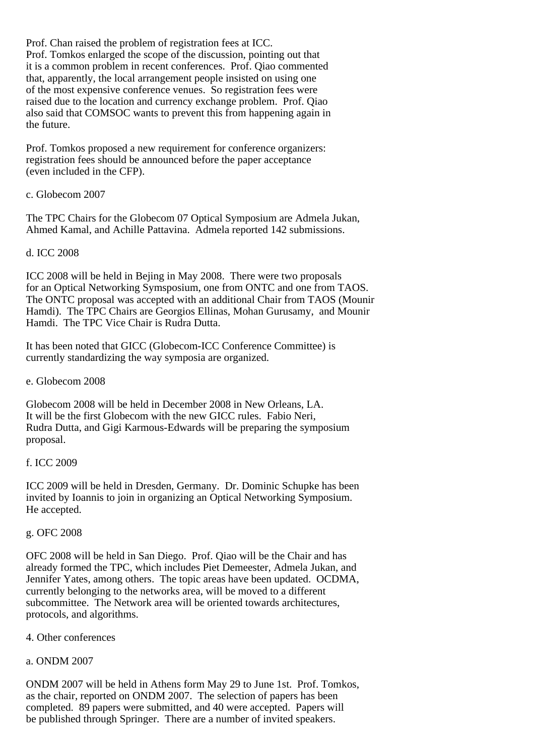Prof. Chan raised the problem of registration fees at ICC. Prof. Tomkos enlarged the scope of the discussion, pointing out that it is a common problem in recent conferences. Prof. Qiao commented that, apparently, the local arrangement people insisted on using one of the most expensive conference venues. So registration fees were raised due to the location and currency exchange problem. Prof. Qiao also said that COMSOC wants to prevent this from happening again in the future.

Prof. Tomkos proposed a new requirement for conference organizers: registration fees should be announced before the paper acceptance (even included in the CFP).

#### c. Globecom 2007

The TPC Chairs for the Globecom 07 Optical Symposium are Admela Jukan, Ahmed Kamal, and Achille Pattavina. Admela reported 142 submissions.

#### d. ICC 2008

ICC 2008 will be held in Bejing in May 2008. There were two proposals for an Optical Networking Symsposium, one from ONTC and one from TAOS. The ONTC proposal was accepted with an additional Chair from TAOS (Mounir Hamdi). The TPC Chairs are Georgios Ellinas, Mohan Gurusamy, and Mounir Hamdi. The TPC Vice Chair is Rudra Dutta.

It has been noted that GICC (Globecom-ICC Conference Committee) is currently standardizing the way symposia are organized.

e. Globecom 2008

Globecom 2008 will be held in December 2008 in New Orleans, LA. It will be the first Globecom with the new GICC rules. Fabio Neri, Rudra Dutta, and Gigi Karmous-Edwards will be preparing the symposium proposal.

# f. ICC 2009

ICC 2009 will be held in Dresden, Germany. Dr. Dominic Schupke has been invited by Ioannis to join in organizing an Optical Networking Symposium. He accepted.

#### g. OFC 2008

OFC 2008 will be held in San Diego. Prof. Qiao will be the Chair and has already formed the TPC, which includes Piet Demeester, Admela Jukan, and Jennifer Yates, among others. The topic areas have been updated. OCDMA, currently belonging to the networks area, will be moved to a different subcommittee. The Network area will be oriented towards architectures, protocols, and algorithms.

# 4. Other conferences

# a. ONDM 2007

ONDM 2007 will be held in Athens form May 29 to June 1st. Prof. Tomkos, as the chair, reported on ONDM 2007. The selection of papers has been completed. 89 papers were submitted, and 40 were accepted. Papers will be published through Springer. There are a number of invited speakers.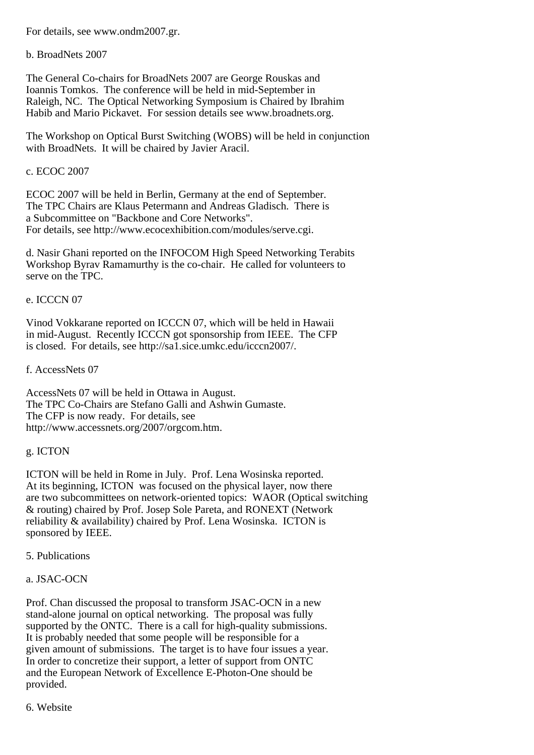For details, see www.ondm2007.gr.

b. BroadNets 2007

The General Co-chairs for BroadNets 2007 are George Rouskas and Ioannis Tomkos. The conference will be held in mid-September in Raleigh, NC. The Optical Networking Symposium is Chaired by Ibrahim Habib and Mario Pickavet. For session details see www.broadnets.org.

The Workshop on Optical Burst Switching (WOBS) will be held in conjunction with BroadNets. It will be chaired by Javier Aracil.

#### c. ECOC 2007

ECOC 2007 will be held in Berlin, Germany at the end of September. The TPC Chairs are Klaus Petermann and Andreas Gladisch. There is a Subcommittee on "Backbone and Core Networks". For details, see http://www.ecocexhibition.com/modules/serve.cgi.

d. Nasir Ghani reported on the INFOCOM High Speed Networking Terabits Workshop Byrav Ramamurthy is the co-chair. He called for volunteers to serve on the TPC.

#### e. ICCCN 07

Vinod Vokkarane reported on ICCCN 07, which will be held in Hawaii in mid-August. Recently ICCCN got sponsorship from IEEE. The CFP is closed. For details, see http://sa1.sice.umkc.edu/icccn2007/.

f. AccessNets 07

AccessNets 07 will be held in Ottawa in August. The TPC Co-Chairs are Stefano Galli and Ashwin Gumaste. The CFP is now ready. For details, see http://www.accessnets.org/2007/orgcom.htm.

#### g. ICTON

ICTON will be held in Rome in July. Prof. Lena Wosinska reported. At its beginning, ICTON was focused on the physical layer, now there are two subcommittees on network-oriented topics: WAOR (Optical switching & routing) chaired by Prof. Josep Sole Pareta, and RONEXT (Network reliability & availability) chaired by Prof. Lena Wosinska. ICTON is sponsored by IEEE.

5. Publications

# a. JSAC-OCN

Prof. Chan discussed the proposal to transform JSAC-OCN in a new stand-alone journal on optical networking. The proposal was fully supported by the ONTC. There is a call for high-quality submissions. It is probably needed that some people will be responsible for a given amount of submissions. The target is to have four issues a year. In order to concretize their support, a letter of support from ONTC and the European Network of Excellence E-Photon-One should be provided.

6. Website